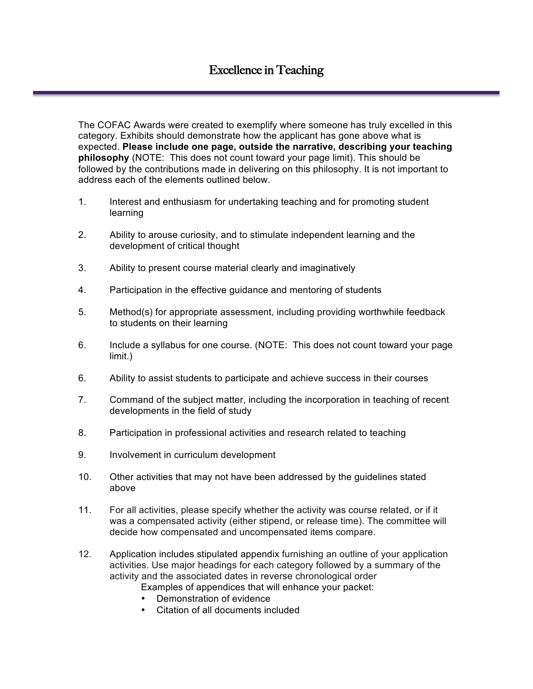The COFAC Awards were created to exemplify where someone has truly excelled in this category. Exhibits should demonstrate how the applicant has gone above what is expected. **Please include one page, outside the narrative, describing your teaching philosophy** (NOTE: This does not count toward your page limit). This should be followed by the contributions made in delivering on this philosophy. It is not important to address each of the elements outlined below.

- 1. Interest and enthusiasm for undertaking teaching and for promoting student learning
- 2. Ability to arouse curiosity, and to stimulate independent learning and the development of critical thought
- 3. Ability to present course material clearly and imaginatively
- 4. Participation in the effective guidance and mentoring of students
- 5. Method(s) for appropriate assessment, including providing worthwhile feedback to students on their learning
- 6. Include a syllabus for one course. (NOTE: This does not count toward your page limit.)
- 6. Ability to assist students to participate and achieve success in their courses
- 7. Command of the subject matter, including the incorporation in teaching of recent developments in the field of study
- 8. Participation in professional activities and research related to teaching
- 9. Involvement in curriculum development
- 10. Other activities that may not have been addressed by the guidelines stated above
- 11. For all activities, please specify whether the activity was course related, or if it was a compensated activity (either stipend, or release time). The committee will decide how compensated and uncompensated items compare.
- 12. Application includes stipulated appendix furnishing an outline of your application activities. Use major headings for each category followed by a summary of the activity and the associated dates in reverse chronological order
	- Examples of appendices that will enhance your packet:
		- Demonstration of evidence
	- Citation of all documents included